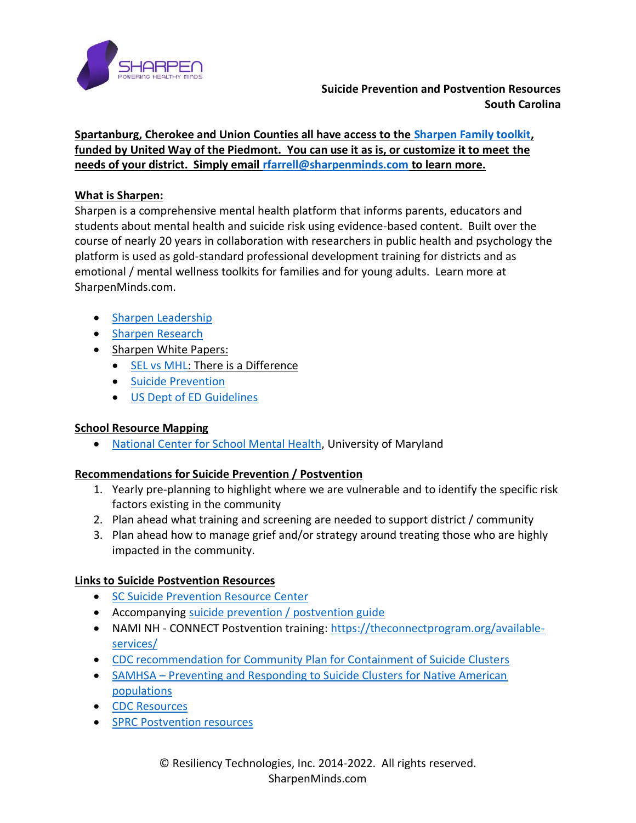

# **Suicide Prevention and Postvention Resources South Carolina**

**Spartanburg, Cherokee and Union Counties all have access to the [Sharpen Family toolkit,](https://www.uwpiedmont.org/sharpenfamily#:~:text=Sharpen%20Family%20is%20a%20mental,and%20other%20mental%20health%20challenges.) funded by United Way of the Piedmont. You can use it as is, or customize it to meet the needs of your district. Simply email [rfarrell@sharpenminds.com](mailto:rfarrell@sharpenminds.com) to learn more.**

### **What is Sharpen:**

Sharpen is a comprehensive mental health platform that informs parents, educators and students about mental health and suicide risk using evidence-based content. Built over the course of nearly 20 years in collaboration with researchers in public health and psychology the platform is used as gold-standard professional development training for districts and as emotional / mental wellness toolkits for families and for young adults. Learn more at SharpenMinds.com.

- [Sharpen Leadership](https://www.sharpenminds.com/leadership)
- [Sharpen Research](https://www.sharpenminds.com/research)
- Sharpen White Papers:
	- [SEL vs MHL:](https://www.sharpenminds.com/post/sharpen-white-paper-on-social-emotional-and-mental-health-literacy) There is a Difference
	- [Suicide Prevention](https://www.sharpenminds.com/post/sharpen-suicide-prevention-white-paper)
	- [US Dept of ED Guidelines](https://www.sharpenminds.com/post/sharpen-answers-us-dept-of-ed-guidelines)

## **School Resource Mapping**

• [National Center for School Mental Health,](https://www.schoolmentalhealth.org/media/SOM/Microsites/NCSMH/Documents/Quality-Guides/Needs-Assessment-&-Resource-Mapping-2.3.20.pdf) University of Maryland

## **Recommendations for Suicide Prevention / Postvention**

- 1. Yearly pre-planning to highlight where we are vulnerable and to identify the specific risk factors existing in the community
- 2. Plan ahead what training and screening are needed to support district / community
- 3. Plan ahead how to manage grief and/or strategy around treating those who are highly impacted in the community.

## **Links to Suicide Postvention Resources**

- [SC Suicide Prevention Resource Center](https://www.sprc.org/states/south-carolina)
- Accompanying [suicide prevention / postvention guide](https://www.sharpenminds.com/_files/ugd/0d7fac_868f62da4b8943a2bc9fcce14675fdd3.pdf)
- NAMI NH CONNECT Postvention training: [https://theconnectprogram.org/available](https://theconnectprogram.org/available-services/)[services/](https://theconnectprogram.org/available-services/)
- [CDC recommendation for Community Plan for Containment of Suicide Clusters](https://www.cdc.gov/mmwr/preview/mmwrhtml/00001755.htm)
- SAMHSA [Preventing and Responding to Suicide Clusters for Native American](https://store.samhsa.gov/sites/default/files/d7/priv/sma16-4969.pdf)  [populations](https://store.samhsa.gov/sites/default/files/d7/priv/sma16-4969.pdf)
- [CDC Resources](https://www.cdc.gov/suicide/resources/publications.html)
- [SPRC Postvention resources](https://www.sprc.org/sites/default/files/resource-program/Spotlight_Postvention_ResourceSheetv03.pdf)

© Resiliency Technologies, Inc. 2014-2022. All rights reserved. SharpenMinds.com